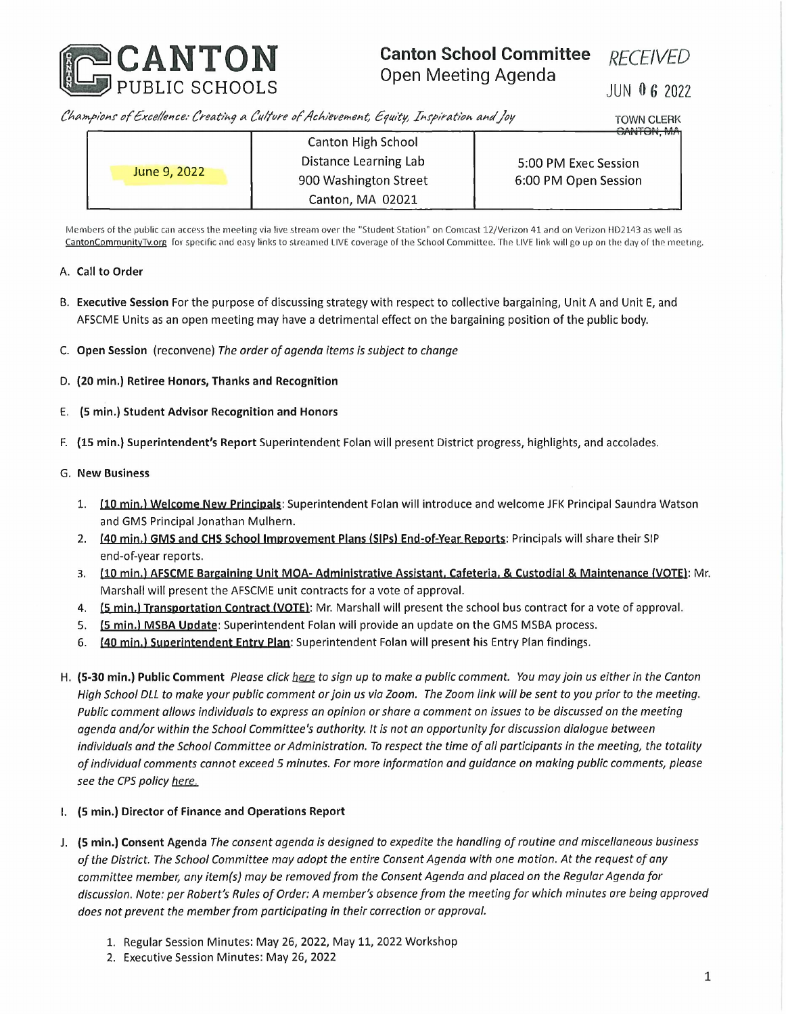

## **Canton School Committee** Open Meeting Agenda

*RECEIVED*

JUN 0 6 2022

*C/ajn.pioHS' of£xce//ence: Creat/Mj a (fa/fure of/tchieveineht, Syuity, Tx>ry>ixat/o^ a^c//oy* TOWN CLERK

**u/vi** <sup>I</sup> **un,** <sup>i</sup>**v**i**n**

| June 9, 2022 | <b>Canton High School</b> | $\sim$               |
|--------------|---------------------------|----------------------|
|              | Distance Learning Lab     | 5:00 PM Exec Session |
|              | 900 Washington Street     | 6:00 PM Open Session |
|              | Canton, MA 02021          |                      |

Members of the public can access the meeting via live stream over the "Student Station" on Comcast 12/Verizon 41 and on Verizon HD2143 as well as <CantonCommunityTv.org> for specific and easy links to streamed LIVE coverage of the School Committee. The LIVE link will go up on the day of the meeting.

## **A. Call to Order**

- B. **Executive Session** For the purpose of discussing strategy with respect to collective bargaining, Unit A and Unit E, and AFSCME Units as an open meeting may have <sup>a</sup> detrimental effect on the bargaining position of the public body.
- **C. Open Session (reconvene)** *The order ofagenda items is subject to change*
- D. **(20 min.) Retiree Honors, Thanks and Recognition**
- E. **(5 min.) Student Advisor Recognition and Honors**
- F. **(15 min.) Superintendent's Report** Superintendent Folan will present District progress, highlights, and accolades.

## G. **New Business**

- 1. **(10 min.l Welcome New Principals:** Superintendent Folan will introduce and welcome JFK Principal Saundra Watson and GMS Principal Jonathan Mulhern.
- 2. **(40 min.) GIVIS and CHS School Improvement Plans (SIPs) End-of-Year Reports:** Principals will share their SIP end-of-year reports.
- 3. (10 min.) AFSCME Bargaining Unit MOA-Administrative Assistant, Cafeteria, & Custodial & Maintenance (VOTE): Mr. Marshall will present the AFSCME unit contracts for <sup>a</sup> vote of approval.
- 4. **(5 min.) Transportation Contract (VOTE):** Mr. Marshall will present the school bus contract for <sup>a</sup> vote of approval.
- 5. **(5 min.) MSBA Update:** Superintendent Folan will provide an update on the GMS MSBA process.
- 6. **(40 min.) Superintendent Entry Plan:** Superintendent Folan will present his Entry Plan findings.
- H. (5-30 min.) Public Comment Please click here to sign up to make a public comment. You may join us either in the Canton High School DLL to make your public comment or join us via Zoom. The Zoom link will be sent to you prior to the meeting. Public comment allows individuals to express an opinion or share a comment on issues to be discussed on the meeting *agenda and/or within the School Committee's authority. It is not an opportunity for discussion dialogue between* individuals and the School Committee or Administration. To respect the time of all participants in the meeting, the totality of individual comments cannot exceed 5 minutes. For more information and guidance on making public comments, please *see the CPS policy here.*

## **I. (5 min.) Director of Finance and Operations Report**

- J. (5 min.) Consent Agenda The consent agenda is designed to expedite the handling of routine and miscellaneous business of the District. The School Committee may adopt the entire Consent Agenda with one motion. At the request of any *committee member, any item(s) may be removedfrom the Consent Agenda and placed on the RegularAgenda for* discussion. Note: per Robert's Rules of Order: A member's absence from the meeting for which minutes are being approved *does not prevent the memberfrom participating in their correction or approval.*
	- 1. Regular Session Minutes: May 26, 2022, May 11, 2022 Workshop
	- 2. Executive Session Minutes: May 26, 2022